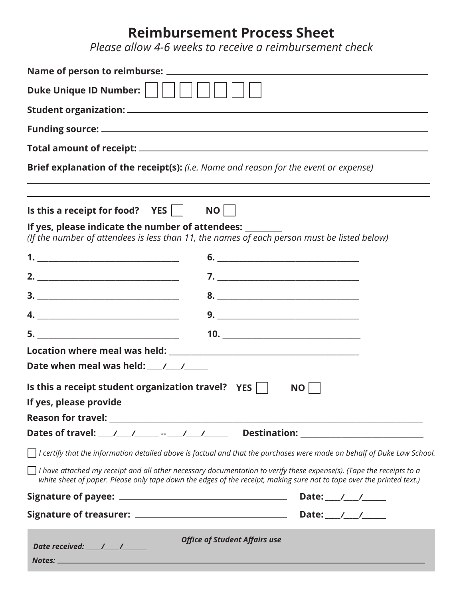## **Reimbursement Process Sheet**

*Please allow 4-6 weeks to receive a reimbursement check*

| Duke Unique ID Number:                                                                                                                                                 |                                      |                                                                                                                                                                                                                                                                                                                                                       |
|------------------------------------------------------------------------------------------------------------------------------------------------------------------------|--------------------------------------|-------------------------------------------------------------------------------------------------------------------------------------------------------------------------------------------------------------------------------------------------------------------------------------------------------------------------------------------------------|
|                                                                                                                                                                        |                                      |                                                                                                                                                                                                                                                                                                                                                       |
|                                                                                                                                                                        |                                      |                                                                                                                                                                                                                                                                                                                                                       |
|                                                                                                                                                                        |                                      |                                                                                                                                                                                                                                                                                                                                                       |
| Brief explanation of the receipt(s): (i.e. Name and reason for the event or expense)                                                                                   |                                      | ,我们也不会有什么。""我们的人,我们也不会有什么?""我们的人,我们也不会有什么?""我们的人,我们也不会有什么?""我们的人,我们也不会有什么?""我们的人                                                                                                                                                                                                                                                                      |
| Is this a receipt for food? $YES$     NO                                                                                                                               |                                      |                                                                                                                                                                                                                                                                                                                                                       |
| If yes, please indicate the number of attendees: ________<br>(If the number of attendees is less than 11, the names of each person must be listed below)               |                                      |                                                                                                                                                                                                                                                                                                                                                       |
|                                                                                                                                                                        |                                      | $\begin{tabular}{c} 6. & \hspace{1.5cm} \rule{2.2cm}{0.15cm} \rule{2.2cm}{0.15cm} \rule{2.2cm}{0.15cm} \rule{2.2cm}{0.15cm} \rule{2.2cm}{0.15cm} \rule{2.2cm}{0.15cm} \rule{2.2cm}{0.15cm} \rule{2.2cm}{0.15cm} \rule{2.2cm}{0.15cm} \rule{2.2cm}{0.15cm} \rule{2.2cm}{0.15cm} \rule{2.2cm}{0.15cm} \rule{2.2cm}{0.15cm} \rule{2.2cm}{0.15cm} \rule{$ |
|                                                                                                                                                                        |                                      |                                                                                                                                                                                                                                                                                                                                                       |
|                                                                                                                                                                        |                                      | 8.                                                                                                                                                                                                                                                                                                                                                    |
|                                                                                                                                                                        |                                      |                                                                                                                                                                                                                                                                                                                                                       |
|                                                                                                                                                                        |                                      | $\begin{array}{c}\n10. \quad \textcolor{blue}{\textbf{2.12}}\n\end{array}$                                                                                                                                                                                                                                                                            |
|                                                                                                                                                                        |                                      |                                                                                                                                                                                                                                                                                                                                                       |
|                                                                                                                                                                        |                                      |                                                                                                                                                                                                                                                                                                                                                       |
| Is this a receipt student organization travel? $YES$<br>If yes, please provide and the state of the state of the state of the state of the state of the state of the s |                                      | <b>NO</b>                                                                                                                                                                                                                                                                                                                                             |
|                                                                                                                                                                        |                                      |                                                                                                                                                                                                                                                                                                                                                       |
|                                                                                                                                                                        |                                      |                                                                                                                                                                                                                                                                                                                                                       |
|                                                                                                                                                                        |                                      | $\Box$ I certify that the information detailed above is factual and that the purchases were made on behalf of Duke Law School.                                                                                                                                                                                                                        |
|                                                                                                                                                                        |                                      | $\Box$ I have attached my receipt and all other necessary documentation to verify these expense(s). (Tape the receipts to a<br>white sheet of paper. Please only tape down the edges of the receipt, making sure not to tape over the printed text.)                                                                                                  |
|                                                                                                                                                                        |                                      |                                                                                                                                                                                                                                                                                                                                                       |
|                                                                                                                                                                        |                                      |                                                                                                                                                                                                                                                                                                                                                       |
| Date received: $\frac{1}{\sqrt{1-\frac{1}{2}}}$                                                                                                                        | <b>Office of Student Affairs use</b> |                                                                                                                                                                                                                                                                                                                                                       |